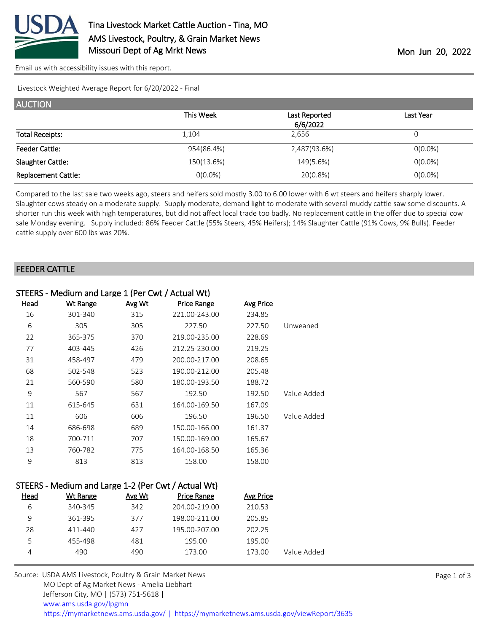

[Email us with accessibility issues with this report.](mailto:mars@ams.usda.gov?subject=508%20issue)

Livestock Weighted Average Report for 6/20/2022 - Final

| <b>AUCTION</b>             |            |               |            |
|----------------------------|------------|---------------|------------|
|                            | This Week  | Last Reported | Last Year  |
|                            |            | 6/6/2022      |            |
| <b>Total Receipts:</b>     | 1,104      | 2.656         |            |
| <b>Feeder Cattle:</b>      | 954(86.4%) | 2,487(93.6%)  | $O(0.0\%)$ |
| Slaughter Cattle:          | 150(13.6%) | 149(5.6%)     | $O(0.0\%)$ |
| <b>Replacement Cattle:</b> | $O(0.0\%)$ | 20(0.8%)      | $O(0.0\%)$ |

Compared to the last sale two weeks ago, steers and heifers sold mostly 3.00 to 6.00 lower with 6 wt steers and heifers sharply lower. Slaughter cows steady on a moderate supply. Supply moderate, demand light to moderate with several muddy cattle saw some discounts. A shorter run this week with high temperatures, but did not affect local trade too badly. No replacement cattle in the offer due to special cow sale Monday evening. Supply included: 86% Feeder Cattle (55% Steers, 45% Heifers); 14% Slaughter Cattle (91% Cows, 9% Bulls). Feeder cattle supply over 600 lbs was 20%.

#### FEEDER CATTLE

|      | STEERS - Medium and Large 1 (Per Cwt / Actual Wt) |        |                    |                  |             |
|------|---------------------------------------------------|--------|--------------------|------------------|-------------|
| Head | <b>Wt Range</b>                                   | Avg Wt | <b>Price Range</b> | <b>Avg Price</b> |             |
| 16   | 301-340                                           | 315    | 221.00-243.00      | 234.85           |             |
| 6    | 305                                               | 305    | 227.50             | 227.50           | Unweaned    |
| 22   | 365-375                                           | 370    | 219.00-235.00      | 228.69           |             |
| 77   | 403-445                                           | 426    | 212.25-230.00      | 219.25           |             |
| 31   | 458-497                                           | 479    | 200.00-217.00      | 208.65           |             |
| 68   | 502-548                                           | 523    | 190.00-212.00      | 205.48           |             |
| 21   | 560-590                                           | 580    | 180.00-193.50      | 188.72           |             |
| 9    | 567                                               | 567    | 192.50             | 192.50           | Value Added |
| 11   | 615-645                                           | 631    | 164.00-169.50      | 167.09           |             |
| 11   | 606                                               | 606    | 196.50             | 196.50           | Value Added |
| 14   | 686-698                                           | 689    | 150.00-166.00      | 161.37           |             |
| 18   | 700-711                                           | 707    | 150.00-169.00      | 165.67           |             |
| 13   | 760-782                                           | 775    | 164.00-168.50      | 165.36           |             |
| 9    | 813                                               | 813    | 158.00             | 158.00           |             |
|      |                                                   |        |                    |                  |             |

|      | STEERS - Medium and Large 1-2 (Per CWL) Actual WU |        |                    |           |             |
|------|---------------------------------------------------|--------|--------------------|-----------|-------------|
| Head | Wt Range                                          | Avg Wt | <b>Price Range</b> | Avg Price |             |
| 6    | 340-345                                           | 342    | 204.00-219.00      | 210.53    |             |
| 9    | 361-395                                           | 377    | 198.00-211.00      | 205.85    |             |
| 28   | 411-440                                           | 427    | 195.00-207.00      | 202.25    |             |
| 5    | 455-498                                           | 481    | 195.00             | 195.00    |             |
| 4    | 490                                               | 490    | 173.00             | 173.00    | Value Added |
|      |                                                   |        |                    |           |             |

 $S_{\text{S}}$  - Medium and Large 1-2 (Der Cut / Actual WH)

| Source: USDA AMS Livestock, Poultry & Grain Market News                                |
|----------------------------------------------------------------------------------------|
| MO Dept of Ag Market News - Amelia Liebhart                                            |
| Jefferson City, MO   (573) 751-5618                                                    |
| www.ams.usda.gov/lpgmn                                                                 |
| https://mymarketnews.ams.usda.gov/   https://mymarketnews.ams.usda.gov/viewReport/3635 |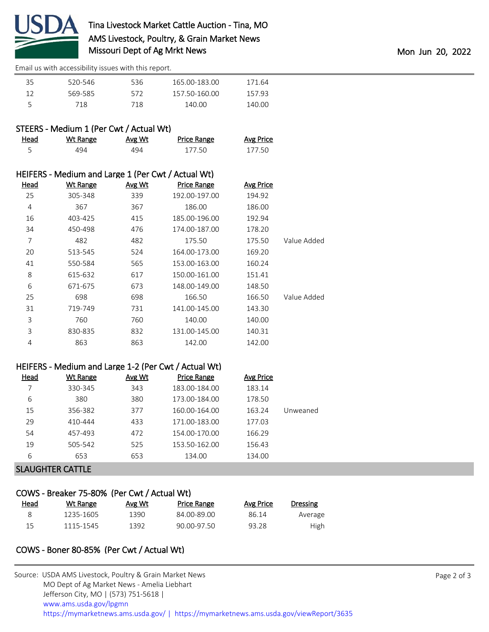

[Email us with accessibility issues with this report.](mailto:mars@ams.usda.gov?subject=508%20issue)

| 35 | 520-546 | 536 | 165.00-183.00 | 171.64 |
|----|---------|-----|---------------|--------|
| 12 | 569-585 | 572 | 157.50-160.00 | 157.93 |
|    | 718     | 718 | 140.00        | 140.00 |

## STEERS - Medium 1 (Per Cwt / Actual Wt)

| Head | Wt Range | Avg Wt | <b>Price Range</b> | <b>Avg Price</b> |
|------|----------|--------|--------------------|------------------|
|      | 494      | 494    | 177.50             | 177.50           |

|             |                  |                    |        | HEIFERS - Medium and Large 1 (Per Cwt / Actual Wt) |             |
|-------------|------------------|--------------------|--------|----------------------------------------------------|-------------|
|             | <b>Avg Price</b> | <b>Price Range</b> | Avg Wt | <b>Wt Range</b>                                    | <u>Head</u> |
|             | 194.92           | 192.00-197.00      | 339    | 305-348                                            | 25          |
|             | 186.00           | 186.00             | 367    | 367                                                | 4           |
|             | 192.94           | 185.00-196.00      | 415    | 403-425                                            | 16          |
|             | 178.20           | 174.00-187.00      | 476    | 450-498                                            | 34          |
| Value Added | 175.50           | 175.50             | 482    | 482                                                | 7           |
|             | 169.20           | 164.00-173.00      | 524    | 513-545                                            | 20          |
|             | 160.24           | 153.00-163.00      | 565    | 550-584                                            | 41          |
|             | 151.41           | 150.00-161.00      | 617    | 615-632                                            | 8           |
|             | 148.50           | 148.00-149.00      | 673    | 671-675                                            | 6           |
| Value Added | 166.50           | 166.50             | 698    | 698                                                | 25          |
|             | 143.30           | 141.00-145.00      | 731    | 719-749                                            | 31          |
|             | 140.00           | 140.00             | 760    | 760                                                | 3           |
|             | 140.31           | 131.00-145.00      | 832    | 830-835                                            | 3           |
|             | 142.00           | 142.00             | 863    | 863                                                | 4           |
|             |                  |                    |        |                                                    |             |

### HEIFERS - Medium and Large 1-2 (Per Cwt / Actual Wt)

| Head | Wt Range | Avg Wt | <b>Price Range</b> | Avg Price |          |
|------|----------|--------|--------------------|-----------|----------|
|      | 330-345  | 343    | 183.00-184.00      | 183.14    |          |
| 6    | 380      | 380    | 173.00-184.00      | 178.50    |          |
| 15   | 356-382  | 377    | 160.00-164.00      | 163.24    | Unweaned |
| 29   | 410-444  | 433    | 171.00-183.00      | 177.03    |          |
| 54   | 457-493  | 472    | 154.00-170.00      | 166.29    |          |
| 19   | 505-542  | 525    | 153.50-162.00      | 156.43    |          |
| 6    | 653      | 653    | 134.00             | 134.00    |          |
|      |          |        |                    |           |          |

SLAUGHTER CATTLE

# COWS - Breaker 75-80% (Per Cwt / Actual Wt)

| <u>Head</u> | Wt Range  | Avg Wt | Price Range | Avg Price | Dressing |
|-------------|-----------|--------|-------------|-----------|----------|
|             | 1235-1605 | 1390   | 84.00-89.00 | 86.14     | Average  |
|             | 1115-1545 | 1392   | 90.00-97.50 | 93.28     | High     |

## COWS - Boner 80-85% (Per Cwt / Actual Wt)

| Source: USDA AMS Livestock, Poultry & Grain Market News                                |
|----------------------------------------------------------------------------------------|
| MO Dept of Ag Market News - Amelia Liebhart                                            |
| Jefferson City, MO   (573) 751-5618                                                    |
| www.ams.usda.gov/lpgmn                                                                 |
| https://mymarketnews.ams.usda.gov/   https://mymarketnews.ams.usda.gov/viewReport/3635 |